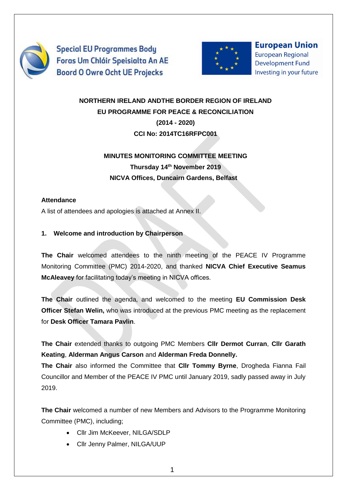

**Special EU Programmes Body** Foras Um Chláir Speisialta An AE **Boord O Owre Ocht UE Projecks** 



**European Union European Regional Development Fund** Investing in your future

# **NORTHERN IRELAND ANDTHE BORDER REGION OF IRELAND EU PROGRAMME FOR PEACE & RECONCILIATION (2014 - 2020)**

**CCI No: 2014TC16RFPC001**

# **MINUTES MONITORING COMMITTEE MEETING Thursday 14th November 2019 NICVA Offices, Duncairn Gardens, Belfast**

## **Attendance**

A list of attendees and apologies is attached at Annex II.

# **1. Welcome and introduction by Chairperson**

**The Chair** welcomed attendees to the ninth meeting of the PEACE IV Programme Monitoring Committee (PMC) 2014-2020, and thanked **NICVA Chief Executive Seamus McAleavey** for facilitating today's meeting in NICVA offices.

**The Chair** outlined the agenda, and welcomed to the meeting **EU Commission Desk Officer Stefan Welin,** who was introduced at the previous PMC meeting as the replacement for **Desk Officer Tamara Pavlin**.

**The Chair** extended thanks to outgoing PMC Members **Cllr Dermot Curran**, **Cllr Garath Keating**, **Alderman Angus Carson** and **Alderman Freda Donnelly.**

**The Chair** also informed the Committee that **Cllr Tommy Byrne**, Drogheda Fianna Fail Councillor and Member of the PEACE IV PMC until January 2019, sadly passed away in July 2019.

**The Chair** welcomed a number of new Members and Advisors to the Programme Monitoring Committee (PMC), including;

- Cllr Jim McKeever, NILGA/SDLP
- Cllr Jenny Palmer, NILGA/UUP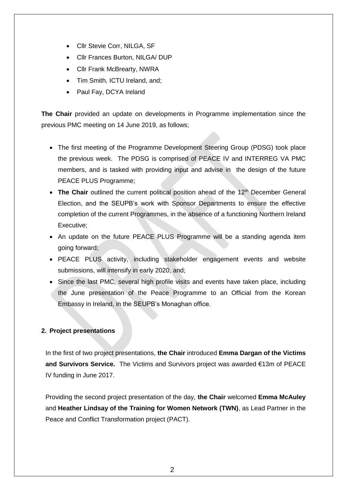- Cllr Stevie Corr, NILGA, SF
- Cllr Frances Burton, NILGA/ DUP
- Cllr Frank McBrearty, NWRA
- Tim Smith, ICTU Ireland, and;
- Paul Fay, DCYA Ireland

**The Chair** provided an update on developments in Programme implementation since the previous PMC meeting on 14 June 2019, as follows;

- The first meeting of the Programme Development Steering Group (PDSG) took place the previous week. The PDSG is comprised of PEACE IV and INTERREG VA PMC members, and is tasked with providing input and advise in the design of the future PEACE PLUS Programme;
- The Chair outlined the current political position ahead of the 12<sup>th</sup> December General Election, and the SEUPB's work with Sponsor Departments to ensure the effective completion of the current Programmes, in the absence of a functioning Northern Ireland Executive;
- An update on the future PEACE PLUS Programme will be a standing agenda item going forward;
- PEACE PLUS activity, including stakeholder engagement events and website submissions, will intensify in early 2020, and;
- Since the last PMC, several high profile visits and events have taken place, including the June presentation of the Peace Programme to an Official from the Korean Embassy in Ireland, in the SEUPB's Monaghan office.

### **2. Project presentations**

In the first of two project presentations, **the Chair** introduced **Emma Dargan of the Victims and Survivors Service.** The Victims and Survivors project was awarded €13m of PEACE IV funding in June 2017.

Providing the second project presentation of the day, **the Chair** welcomed **Emma McAuley** and **Heather Lindsay of the Training for Women Network (TWN)**, as Lead Partner in the Peace and Conflict Transformation project (PACT).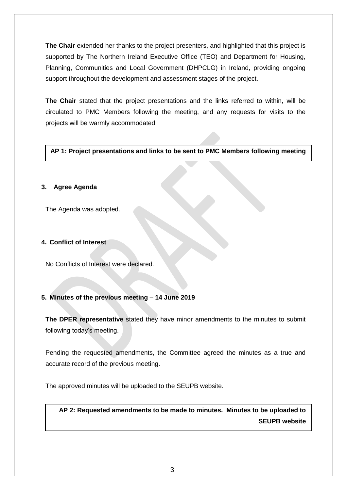**The Chair** extended her thanks to the project presenters, and highlighted that this project is supported by The Northern Ireland Executive Office (TEO) and Department for Housing, Planning, Communities and Local Government (DHPCLG) in Ireland, providing ongoing support throughout the development and assessment stages of the project.

**The Chair** stated that the project presentations and the links referred to within, will be circulated to PMC Members following the meeting, and any requests for visits to the projects will be warmly accommodated.

#### **AP 1: Project presentations and links to be sent to PMC Members following meeting**

#### **3. Agree Agenda**

The Agenda was adopted.

#### **4. Conflict of Interest**

No Conflicts of Interest were declared.

### **5. Minutes of the previous meeting – 14 June 2019**

**The DPER representative** stated they have minor amendments to the minutes to submit following today's meeting.

Pending the requested amendments, the Committee agreed the minutes as a true and accurate record of the previous meeting.

The approved minutes will be uploaded to the SEUPB website.

**AP 2: Requested amendments to be made to minutes. Minutes to be uploaded to SEUPB website**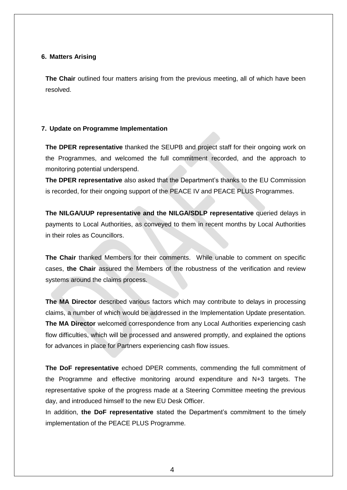#### **6. Matters Arising**

**The Chair** outlined four matters arising from the previous meeting, all of which have been resolved.

#### **7. Update on Programme Implementation**

**The DPER representative** thanked the SEUPB and project staff for their ongoing work on the Programmes, and welcomed the full commitment recorded, and the approach to monitoring potential underspend.

**The DPER representative** also asked that the Department's thanks to the EU Commission is recorded, for their ongoing support of the PEACE IV and PEACE PLUS Programmes.

**The NILGA/UUP representative and the NILGA/SDLP representative** queried delays in payments to Local Authorities, as conveyed to them in recent months by Local Authorities in their roles as Councillors.

**The Chair** thanked Members for their comments. While unable to comment on specific cases, **the Chair** assured the Members of the robustness of the verification and review systems around the claims process.

**The MA Director** described various factors which may contribute to delays in processing claims, a number of which would be addressed in the Implementation Update presentation. **The MA Director** welcomed correspondence from any Local Authorities experiencing cash flow difficulties, which will be processed and answered promptly, and explained the options for advances in place for Partners experiencing cash flow issues.

**The DoF representative** echoed DPER comments, commending the full commitment of the Programme and effective monitoring around expenditure and N+3 targets. The representative spoke of the progress made at a Steering Committee meeting the previous day, and introduced himself to the new EU Desk Officer.

In addition, **the DoF representative** stated the Department's commitment to the timely implementation of the PEACE PLUS Programme.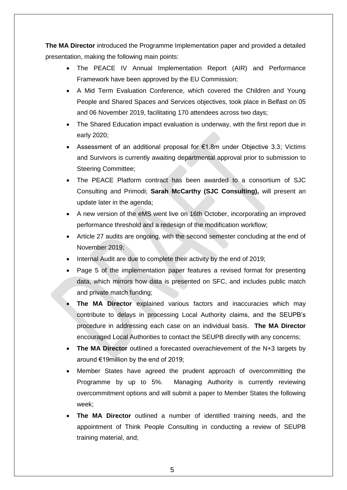**The MA Director** introduced the Programme Implementation paper and provided a detailed presentation, making the following main points:

- The PEACE IV Annual Implementation Report (AIR) and Performance Framework have been approved by the EU Commission;
- A Mid Term Evaluation Conference, which covered the Children and Young People and Shared Spaces and Services objectives, took place in Belfast on 05 and 06 November 2019, facilitating 170 attendees across two days;
- The Shared Education impact evaluation is underway, with the first report due in early 2020;
- Assessment of an additional proposal for €1.8m under Objective 3.3; Victims and Survivors is currently awaiting departmental approval prior to submission to Steering Committee;
- The PEACE Platform contract has been awarded to a consortium of SJC Consulting and Primodi; **Sarah McCarthy (SJC Consulting),** will present an update later in the agenda;
- A new version of the eMS went live on 16th October, incorporating an improved performance threshold and a redesign of the modification workflow;
- Article 27 audits are ongoing, with the second semester concluding at the end of November 2019;
- Internal Audit are due to complete their activity by the end of 2019;
- Page 5 of the implementation paper features a revised format for presenting data, which mirrors how data is presented on SFC, and includes public match and private match funding;
- **The MA Director** explained various factors and inaccuracies which may contribute to delays in processing Local Authority claims, and the SEUPB's procedure in addressing each case on an individual basis. **The MA Director** encouraged Local Authorities to contact the SEUPB directly with any concerns;
- **The MA Director** outlined a forecasted overachievement of the N+3 targets by around €19million by the end of 2019;
- Member States have agreed the prudent approach of overcommitting the Programme by up to 5%. Managing Authority is currently reviewing overcommitment options and will submit a paper to Member States the following week;
- **The MA Director** outlined a number of identified training needs, and the appointment of Think People Consulting in conducting a review of SEUPB training material, and;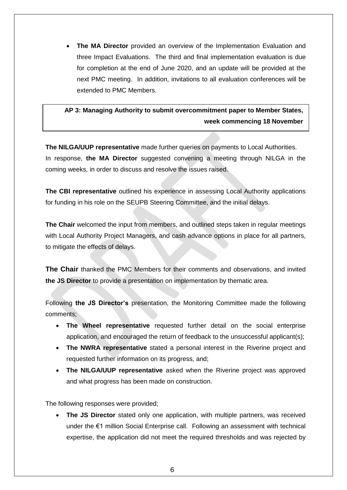**The MA Director** provided an overview of the Implementation Evaluation and three Impact Evaluations. The third and final implementation evaluation is due for completion at the end of June 2020, and an update will be provided at the next PMC meeting. In addition, invitations to all evaluation conferences will be extended to PMC Members.

# **AP 3: Managing Authority to submit overcommitment paper to Member States, week commencing 18 November**

**The NILGA/UUP representative** made further queries on payments to Local Authorities. In response, **the MA Director** suggested convening a meeting through NILGA in the coming weeks, in order to discuss and resolve the issues raised.

The CBI representative outlined his experience in assessing Local Authority applications for funding in his role on the SEUPB Steering Committee, and the initial delays.

**The Chair** welcomed the input from members, and outlined steps taken in regular meetings with Local Authority Project Managers, and cash advance options in place for all partners, to mitigate the effects of delays.

**The Chair** thanked the PMC Members for their comments and observations, and invited **the JS Director** to provide a presentation on implementation by thematic area.

Following **the JS Director's** presentation, the Monitoring Committee made the following comments;

- **The Wheel representative** requested further detail on the social enterprise application, and encouraged the return of feedback to the unsuccessful applicant(s);
- **The NWRA representative** stated a personal interest in the Riverine project and requested further information on its progress, and;
- **The NILGA/UUP representative** asked when the Riverine project was approved and what progress has been made on construction.

The following responses were provided;

 **The JS Director** stated only one application, with multiple partners, was received under the €1 million Social Enterprise call. Following an assessment with technical expertise, the application did not meet the required thresholds and was rejected by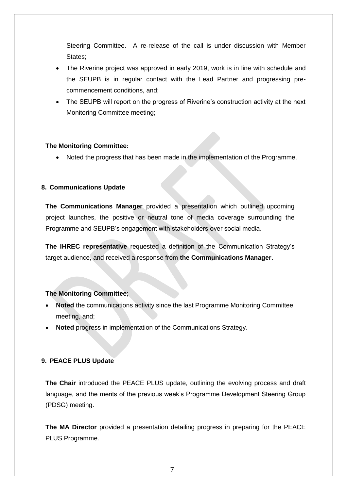Steering Committee. A re-release of the call is under discussion with Member States:

- The Riverine project was approved in early 2019, work is in line with schedule and the SEUPB is in regular contact with the Lead Partner and progressing precommencement conditions, and;
- The SEUPB will report on the progress of Riverine's construction activity at the next Monitoring Committee meeting;

#### **The Monitoring Committee:**

Noted the progress that has been made in the implementation of the Programme.

#### **8. Communications Update**

**The Communications Manager** provided a presentation which outlined upcoming project launches, the positive or neutral tone of media coverage surrounding the Programme and SEUPB's engagement with stakeholders over social media.

**The IHREC representative** requested a definition of the Communication Strategy's target audience, and received a response from **the Communications Manager.**

#### **The Monitoring Committee**;

- **Noted** the communications activity since the last Programme Monitoring Committee meeting, and;
- **Noted** progress in implementation of the Communications Strategy.

#### **9. PEACE PLUS Update**

**The Chair** introduced the PEACE PLUS update, outlining the evolving process and draft language, and the merits of the previous week's Programme Development Steering Group (PDSG) meeting.

**The MA Director** provided a presentation detailing progress in preparing for the PEACE PLUS Programme.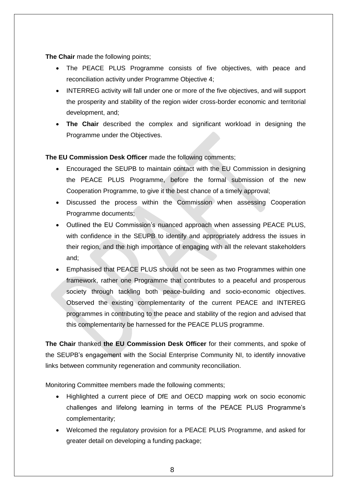**The Chair** made the following points;

- The PEACE PLUS Programme consists of five objectives, with peace and reconciliation activity under Programme Objective 4;
- INTERREG activity will fall under one or more of the five objectives, and will support the prosperity and stability of the region wider cross-border economic and territorial development, and;
- **The Chair** described the complex and significant workload in designing the Programme under the Objectives.

**The EU Commission Desk Officer** made the following comments;

- Encouraged the SEUPB to maintain contact with the EU Commission in designing the PEACE PLUS Programme, before the formal submission of the new Cooperation Programme, to give it the best chance of a timely approval;
- Discussed the process within the Commission when assessing Cooperation Programme documents;
- Outlined the EU Commission's nuanced approach when assessing PEACE PLUS, with confidence in the SEUPB to identify and appropriately address the issues in their region, and the high importance of engaging with all the relevant stakeholders and;
- Emphasised that PEACE PLUS should not be seen as two Programmes within one framework, rather one Programme that contributes to a peaceful and prosperous society through tackling both peace-building and socio-economic objectives. Observed the existing complementarity of the current PEACE and INTEREG programmes in contributing to the peace and stability of the region and advised that this complementarity be harnessed for the PEACE PLUS programme.

**The Chair** thanked **the EU Commission Desk Officer** for their comments, and spoke of the SEUPB's engagement with the Social Enterprise Community NI, to identify innovative links between community regeneration and community reconciliation.

Monitoring Committee members made the following comments;

- Highlighted a current piece of DfE and OECD mapping work on socio economic challenges and lifelong learning in terms of the PEACE PLUS Programme's complementarity;
- Welcomed the regulatory provision for a PEACE PLUS Programme, and asked for greater detail on developing a funding package;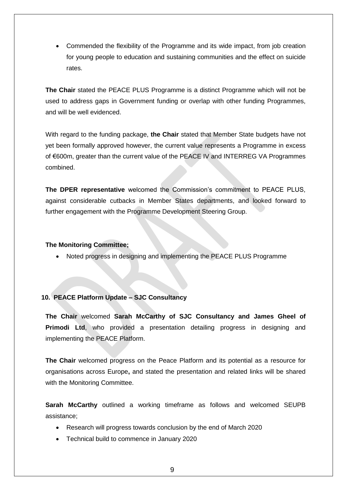Commended the flexibility of the Programme and its wide impact, from job creation for young people to education and sustaining communities and the effect on suicide rates.

**The Chair** stated the PEACE PLUS Programme is a distinct Programme which will not be used to address gaps in Government funding or overlap with other funding Programmes, and will be well evidenced.

With regard to the funding package, **the Chair** stated that Member State budgets have not yet been formally approved however, the current value represents a Programme in excess of €600m, greater than the current value of the PEACE IV and INTERREG VA Programmes combined.

**The DPER representative** welcomed the Commission's commitment to PEACE PLUS, against considerable cutbacks in Member States departments, and looked forward to further engagement with the Programme Development Steering Group.

#### **The Monitoring Committee;**

Noted progress in designing and implementing the PEACE PLUS Programme

### **10. PEACE Platform Update – SJC Consultancy**

**The Chair** welcomed **Sarah McCarthy of SJC Consultancy and James Gheel of Primodi Ltd**, who provided a presentation detailing progress in designing and implementing the PEACE Platform.

**The Chair** welcomed progress on the Peace Platform and its potential as a resource for organisations across Europe**,** and stated the presentation and related links will be shared with the Monitoring Committee.

**Sarah McCarthy** outlined a working timeframe as follows and welcomed SEUPB assistance;

- Research will progress towards conclusion by the end of March 2020
- Technical build to commence in January 2020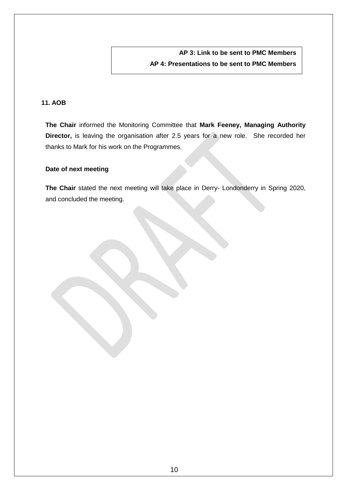**AP 3: Link to be sent to PMC Members AP 4: Presentations to be sent to PMC Members**

### **11. AOB**

**The Chair** informed the Monitoring Committee that **Mark Feeney, Managing Authority Director,** is leaving the organisation after 2.5 years for a new role. She recorded her thanks to Mark for his work on the Programmes.

#### **Date of next meeting**

**The Chair** stated the next meeting will take place in Derry- Londonderry in Spring 2020, and concluded the meeting.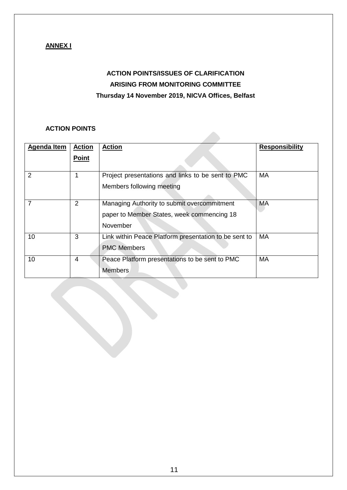## **ANNEX I**

# **ACTION POINTS/ISSUES OF CLARIFICATION ARISING FROM MONITORING COMMITTEE Thursday 14 November 2019, NICVA Offices, Belfast**

### **ACTION POINTS**

| <b>Agenda Item</b> | <b>Action</b> | <b>Action</b>                                         | <b>Responsibility</b> |
|--------------------|---------------|-------------------------------------------------------|-----------------------|
|                    | <b>Point</b>  |                                                       |                       |
| 2                  |               | Project presentations and links to be sent to PMC     | MA                    |
|                    |               | Members following meeting                             |                       |
|                    | 2             | Managing Authority to submit overcommitment           | <b>MA</b>             |
|                    |               | paper to Member States, week commencing 18            |                       |
|                    |               | November                                              |                       |
| 10                 | 3             | Link within Peace Platform presentation to be sent to | <b>MA</b>             |
|                    |               | <b>PMC Members</b>                                    |                       |
| 10                 | 4             | Peace Platform presentations to be sent to PMC        | MA                    |
|                    |               | <b>Members</b>                                        |                       |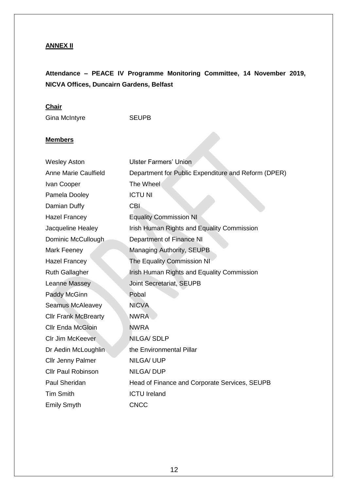## **ANNEX II**

# **Attendance – PEACE IV Programme Monitoring Committee, 14 November 2019, NICVA Offices, Duncairn Gardens, Belfast**

## **Chair**

Gina McIntyre **SEUPB** 

#### **Members**

| <b>Wesley Aston</b>         | <b>Ulster Farmers' Union</b>                        |
|-----------------------------|-----------------------------------------------------|
| <b>Anne Marie Caulfield</b> | Department for Public Expenditure and Reform (DPER) |
| Ivan Cooper                 | The Wheel                                           |
| Pamela Dooley               | <b>ICTU NI</b>                                      |
| Damian Duffy                | <b>CBI</b>                                          |
| <b>Hazel Francey</b>        | <b>Equality Commission NI</b>                       |
| Jacqueline Healey           | Irish Human Rights and Equality Commission          |
| Dominic McCullough          | Department of Finance NI                            |
| Mark Feeney                 | Managing Authority, SEUPB                           |
| <b>Hazel Francey</b>        | <b>The Equality Commission NI</b>                   |
| <b>Ruth Gallagher</b>       | Irish Human Rights and Equality Commission          |
| Leanne Massey               | <b>Joint Secretariat, SEUPB</b>                     |
| Paddy McGinn                | Pobal                                               |
| <b>Seamus McAleavey</b>     | <b>NICVA</b>                                        |
| <b>Cllr Frank McBrearty</b> | <b>NWRA</b>                                         |
| <b>Cllr Enda McGloin</b>    | <b>NWRA</b>                                         |
| Clr Jim McKeever            | <b>NILGA/SDLP</b>                                   |
| Dr Aedin McLoughlin         | the Environmental Pillar                            |
| <b>Cllr Jenny Palmer</b>    | <b>NILGA/ UUP</b>                                   |
| <b>Cllr Paul Robinson</b>   | <b>NILGA/DUP</b>                                    |
| Paul Sheridan               | Head of Finance and Corporate Services, SEUPB       |
| <b>Tim Smith</b>            | <b>ICTU Ireland</b>                                 |
| <b>Emily Smyth</b>          | <b>CNCC</b>                                         |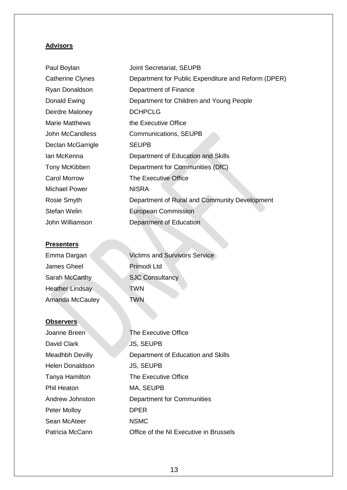## **Advisors**

| Paul Boylan             | Joint Secretariat, SEUPB                            |
|-------------------------|-----------------------------------------------------|
| <b>Catherine Clynes</b> | Department for Public Expenditure and Reform (DPER) |
| Ryan Donaldson          | Department of Finance                               |
| Donald Ewing            | Department for Children and Young People            |
| Deirdre Maloney         | <b>DCHPCLG</b>                                      |
| <b>Marie Matthews</b>   | the Executive Office                                |
| John McCandless         | Communications, SEUPB                               |
| Declan McGarrigle       | <b>SEUPB</b>                                        |
| Ian McKenna             | Department of Education and Skills                  |
| Tony McKibben           | Department for Communities (DfC)                    |
| <b>Carol Morrow</b>     | The Executive Office                                |
| <b>Michael Power</b>    | <b>NISRA</b>                                        |
| Rosie Smyth             | Department of Rural and Community Development       |
| Stefan Welin            | <b>European Commission</b>                          |
| John Williamson         | Department of Education                             |
|                         |                                                     |

## **Presenters**

| Emma Dargan     | <b>Victims and Survivors Service</b> |
|-----------------|--------------------------------------|
| James Gheel     | Primodi Ltd                          |
| Sarah McCarthy  | <b>SJC Consultancy</b>               |
| Heather Lindsay | <b>TWN</b>                           |
| Amanda McCauley | <b>TWN</b>                           |

## **Observers**

| Joanne Breen           | The Executive Office                   |
|------------------------|----------------------------------------|
| David Clark            | <b>JS, SEUPB</b>                       |
| Meadhbh Devilly        | Department of Education and Skills     |
| <b>Helen Donaldson</b> | <b>JS, SEUPB</b>                       |
| Tanya Hamilton         | The Executive Office                   |
| Phil Heaton            | MA, SEUPB                              |
| Andrew Johnston        | <b>Department for Communities</b>      |
| Peter Molloy           | <b>DPER</b>                            |
| Sean McAteer           | <b>NSMC</b>                            |
| Patricia McCann        | Office of the NI Executive in Brussels |
|                        |                                        |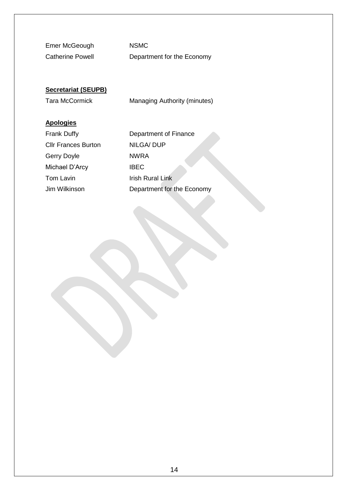Emer McGeough NSMC

Catherine Powell **Department for the Economy** 

## **Secretariat (SEUPB)**

Tara McCormick Managing Authority (minutes)

### **Apologies**

Cllr Frances Burton NILGA/ DUP Gerry Doyle NWRA Michael D'Arcy **IBEC** Tom Lavin **Irish Rural Link** 

Frank Duffy **Department of Finance** Jim Wilkinson Department for the Economy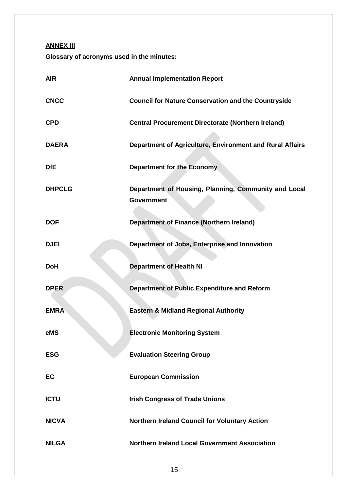**ANNEX III**

**Glossary of acronyms used in the minutes:**

| <b>AIR</b>    | <b>Annual Implementation Report</b>                                       |
|---------------|---------------------------------------------------------------------------|
| <b>CNCC</b>   | <b>Council for Nature Conservation and the Countryside</b>                |
| <b>CPD</b>    | <b>Central Procurement Directorate (Northern Ireland)</b>                 |
| <b>DAERA</b>  | Department of Agriculture, Environment and Rural Affairs                  |
| <b>DfE</b>    | <b>Department for the Economy</b>                                         |
| <b>DHPCLG</b> | Department of Housing, Planning, Community and Local<br><b>Government</b> |
| <b>DOF</b>    | <b>Department of Finance (Northern Ireland)</b>                           |
| <b>DJEI</b>   | Department of Jobs, Enterprise and Innovation                             |
| <b>DoH</b>    | <b>Department of Health NI</b>                                            |
| <b>DPER</b>   | Department of Public Expenditure and Reform                               |
| <b>EMRA</b>   | <b>Eastern &amp; Midland Regional Authority</b>                           |
| eMS           | <b>Electronic Monitoring System</b>                                       |
| <b>ESG</b>    | <b>Evaluation Steering Group</b>                                          |
| EC            | <b>European Commission</b>                                                |
| <b>ICTU</b>   | <b>Irish Congress of Trade Unions</b>                                     |
| <b>NICVA</b>  | Northern Ireland Council for Voluntary Action                             |
| <b>NILGA</b>  | <b>Northern Ireland Local Government Association</b>                      |